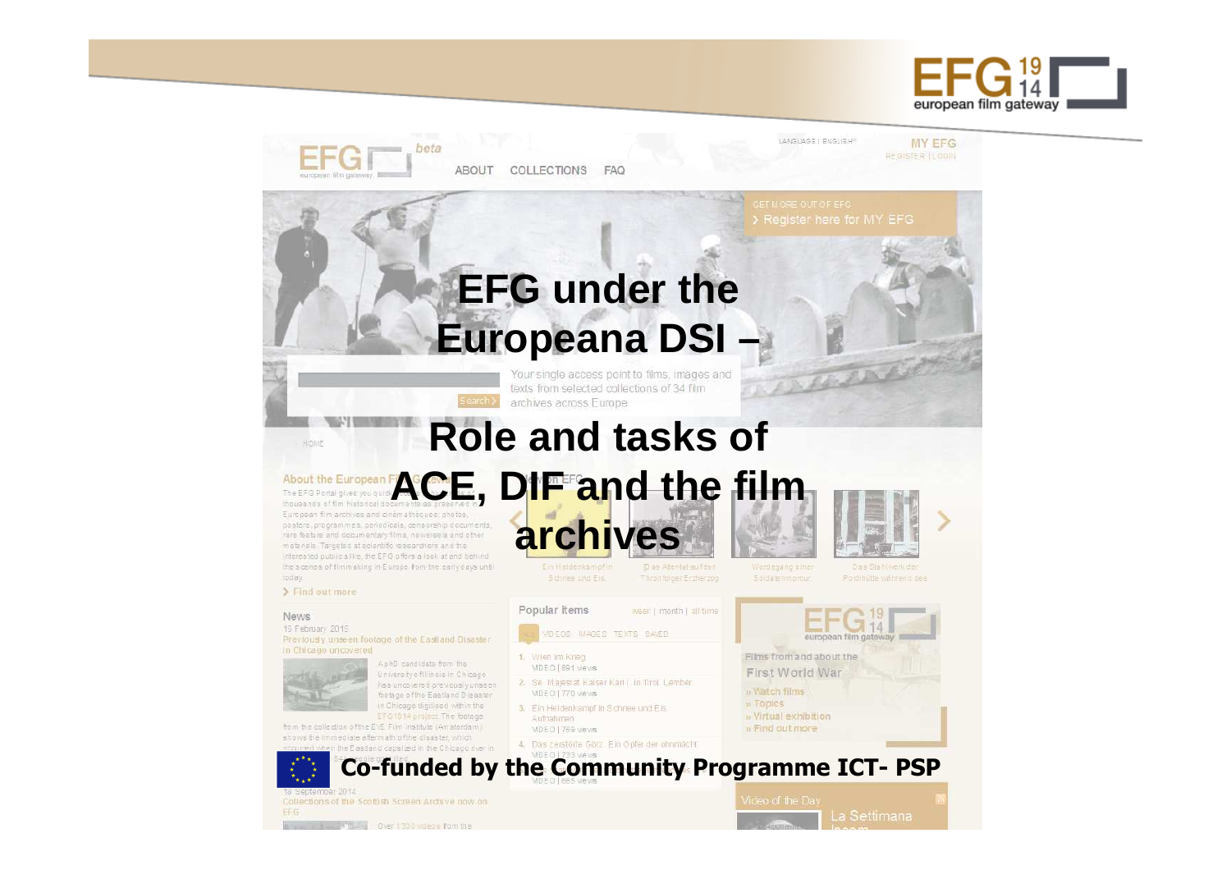

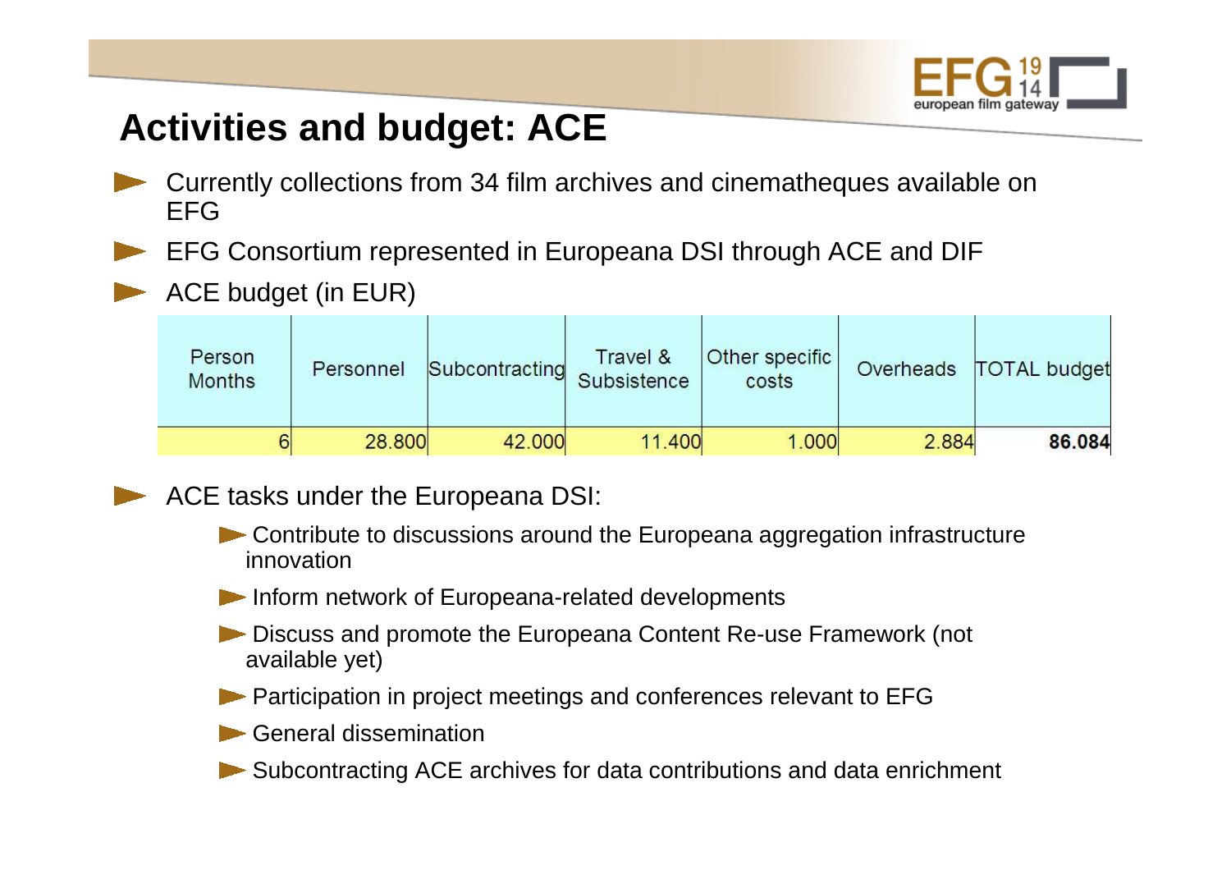

## **Activities and budget: ACE**

- Currently collections from 34 film archives and cinematheques available on EFG
- EFG Consortium represented in Europeana DSI through ACE and DIF
- ACE budget (in EUR)

| Person<br><b>Months</b> | Personnel | Subcontracting | Travel &<br>Subsistence | <b>Other specific</b><br>costs |       | Overheads   TOTAL budget |
|-------------------------|-----------|----------------|-------------------------|--------------------------------|-------|--------------------------|
|                         | 28,800    | 42.000         | 11.400                  | 1.000                          | 2.884 | 86.084                   |



- Contribute to discussions around the Europeana aggregation infrastructure innovation
- **Inform network of Europeana-related developments**
- **Discuss and promote the Europeana Content Re-use Framework (not** available yet)
- **Participation in project meetings and conferences relevant to EFG**
- General dissemination
- Subcontracting ACE archives for data contributions and data enrichment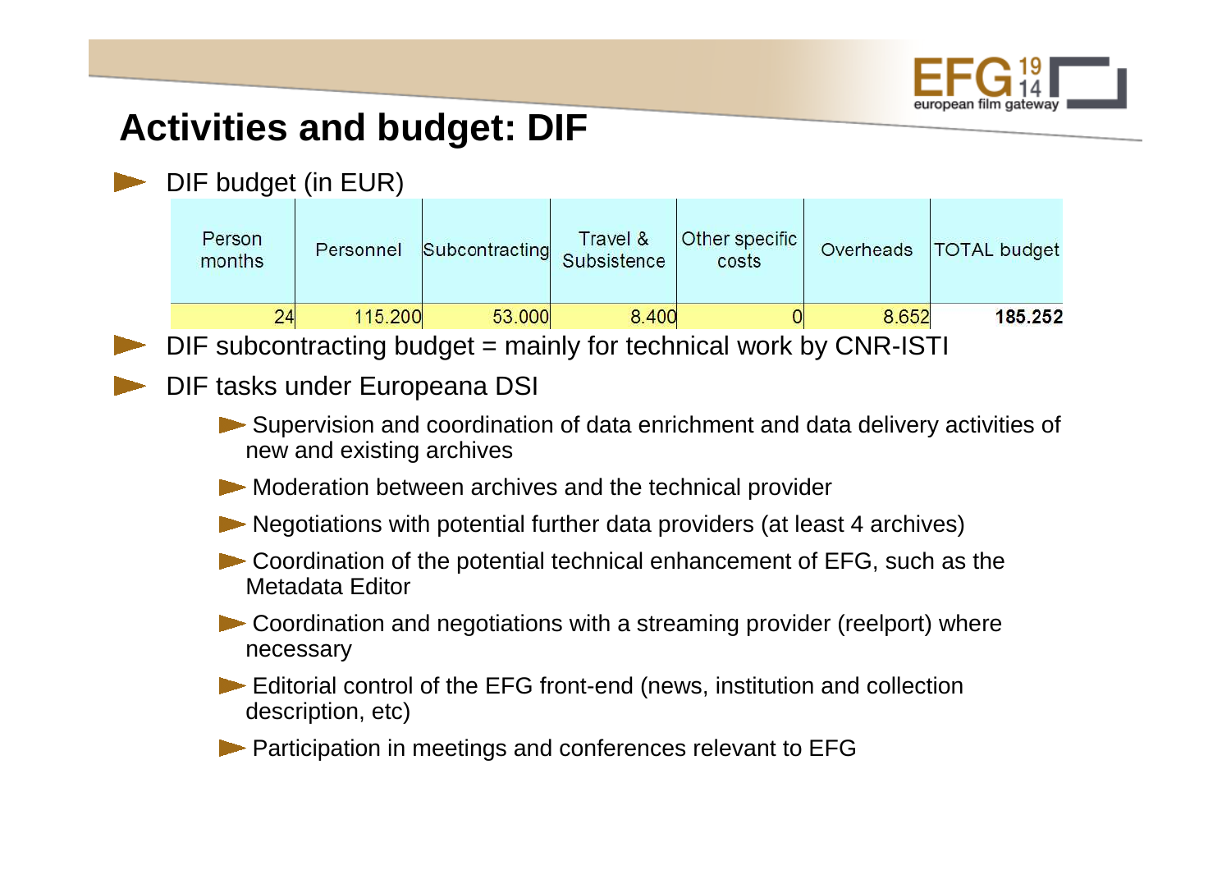

# **Activities and budget: DIF**

#### DIF budget (in EUR)

| Person<br>Personnel<br>months | Subcontracting Subsistence | Travel & | Other specific<br>costs | Overheads | TOTAL budget |
|-------------------------------|----------------------------|----------|-------------------------|-----------|--------------|
| 24                            | 115,200<br>53.000          | 8.400    | υ                       | 8.652     | 185.252      |

DIF subcontracting budget = mainly for technical work by CNR-ISTI

#### DIF tasks under Europeana DSI

- Supervision and coordination of data enrichment and data delivery activities of new and existing archives
- Moderation between archives and the technical provider
- Negotiations with potential further data providers (at least 4 archives)
- Coordination of the potential technical enhancement of EFG, such as the Metadata Editor
- Coordination and negotiations with a streaming provider (reelport) where necessary
- Editorial control of the EFG front-end (news, institution and collection description, etc)
- **Participation in meetings and conferences relevant to EFG**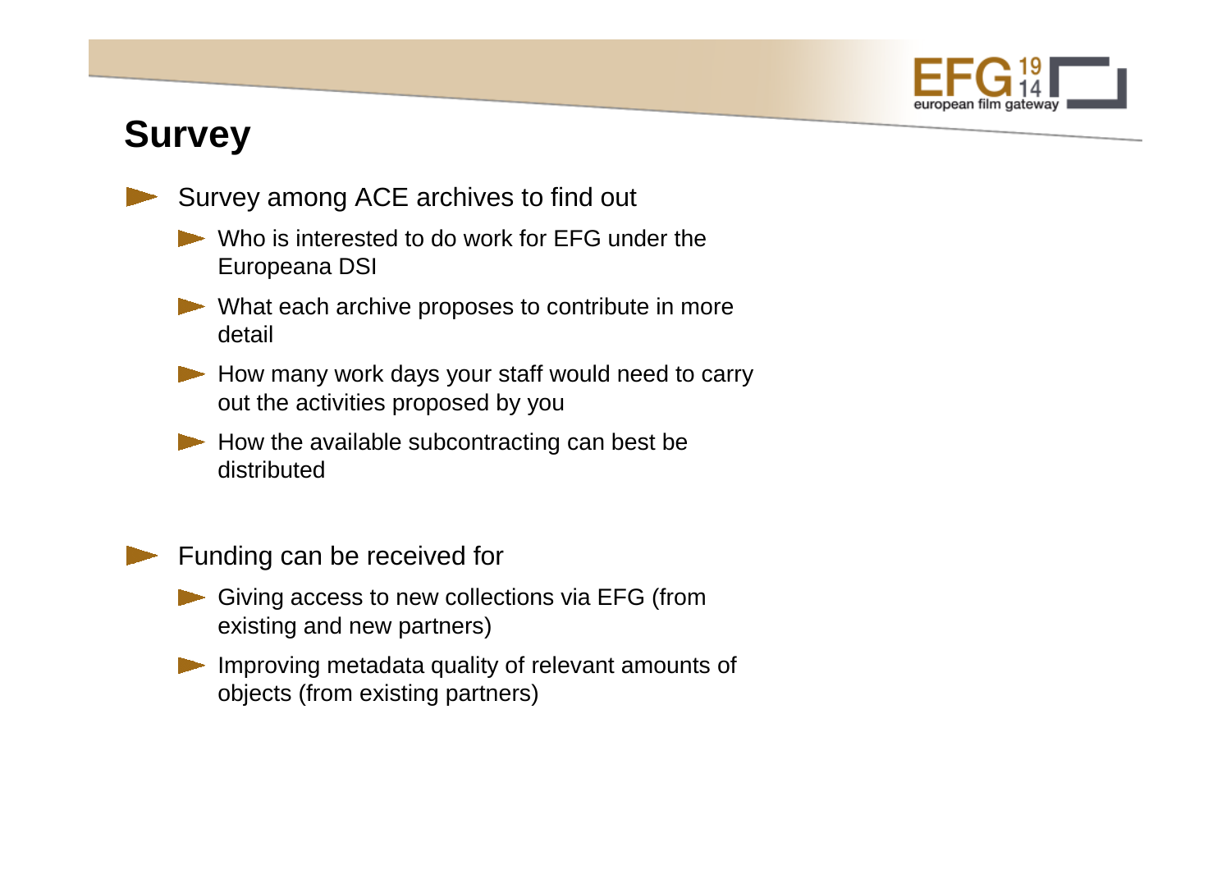

# **Survey**

- Survey among ACE archives to find out
	- Who is interested to do work for EFG under the Europeana DSI
	- What each archive proposes to contribute in more detail
	- How many work days your staff would need to carry out the activities proposed by you
	- $\blacktriangleright$  How the available subcontracting can best be distributed



Funding can be received for

- Giving access to new collections via EFG (from existing and new partners)
- Improving metadata quality of relevant amounts of objects (from existing partners)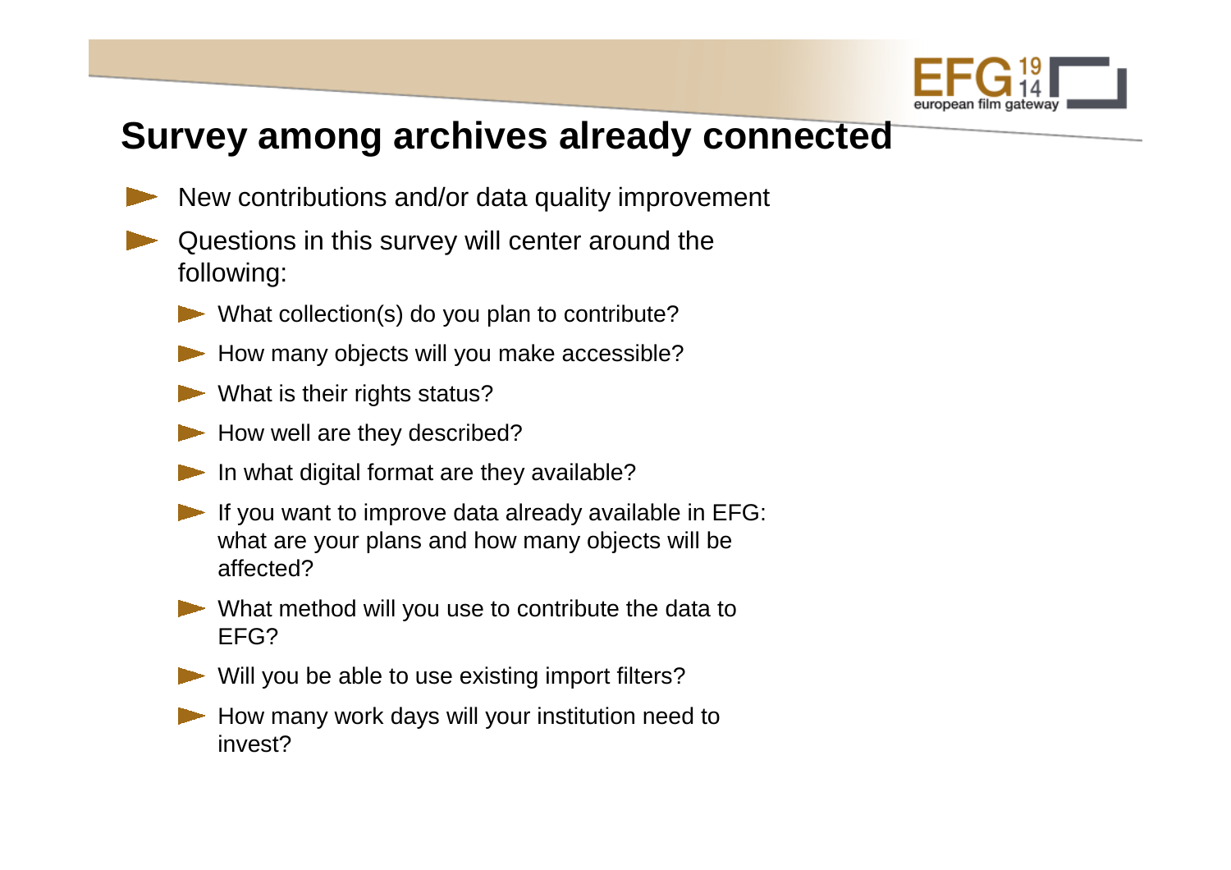

### **Survey among archives already connected**

- New contributions and/or data quality improvement
- Questions in this survey will center around the following:
	- What collection(s) do you plan to contribute?
	- How many objects will you make accessible?
	- What is their rights status?
	- How well are they described?
	- In what digital format are they available?
	- If you want to improve data already available in EFG: what are your plans and how many objects will be affected?
	- What method will you use to contribute the data to EFG?
	- Will you be able to use existing import filters?
	- How many work days will your institution need to invest?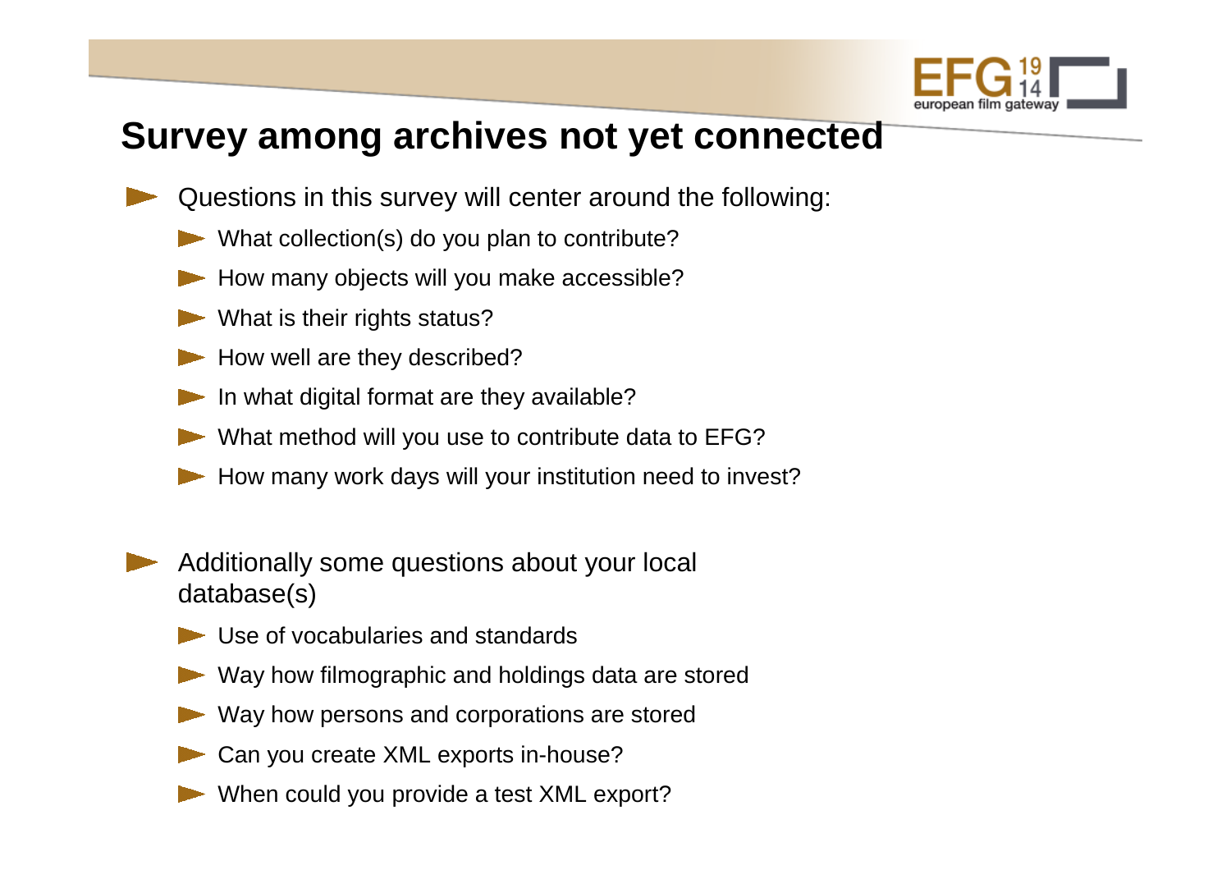

## **Survey among archives not yet connected**

- Questions in this survey will center around the following:
	- What collection(s) do you plan to contribute?
	- How many objects will you make accessible?
	- What is their rights status?
	- How well are they described?
	- In what digital format are they available?
	- What method will you use to contribute data to EFG?
	- How many work days will your institution need to invest?
- Additionally some questions about your local database(s)
	- Use of vocabularies and standards
	- Way how filmographic and holdings data are stored
	- Way how persons and corporations are stored
	- Can you create XML exports in-house?
	- When could you provide a test XML export?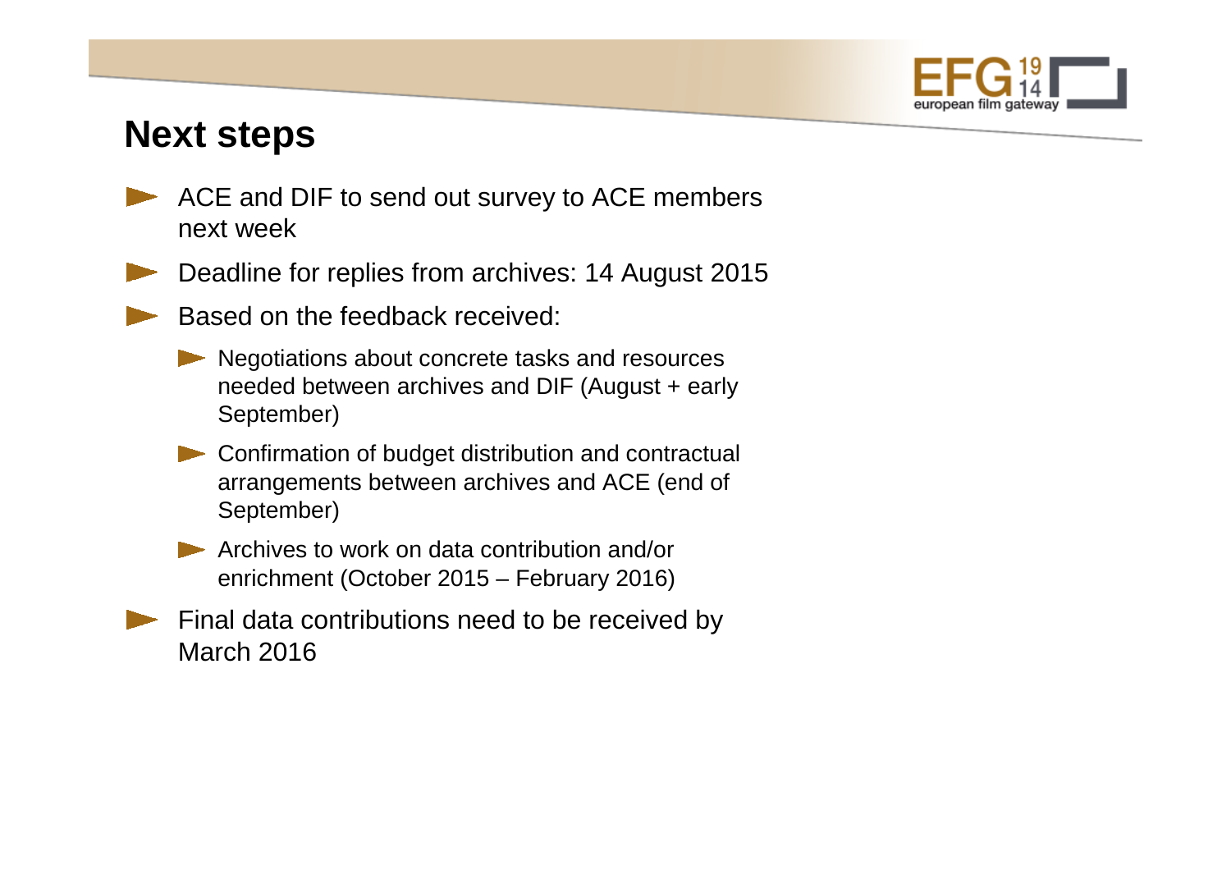

#### **Next steps**

- ACE and DIF to send out survey to ACE members next week
- Deadline for replies from archives: 14 August 2015
	- Based on the feedback received:
		- Negotiations about concrete tasks and resources needed between archives and DIF (August + early September)
		- **Confirmation of budget distribution and contractual** arrangements between archives and ACE (end of September)
		- Archives to work on data contribution and/or enrichment (October 2015 – February 2016)
	- Final data contributions need to be received by March 2016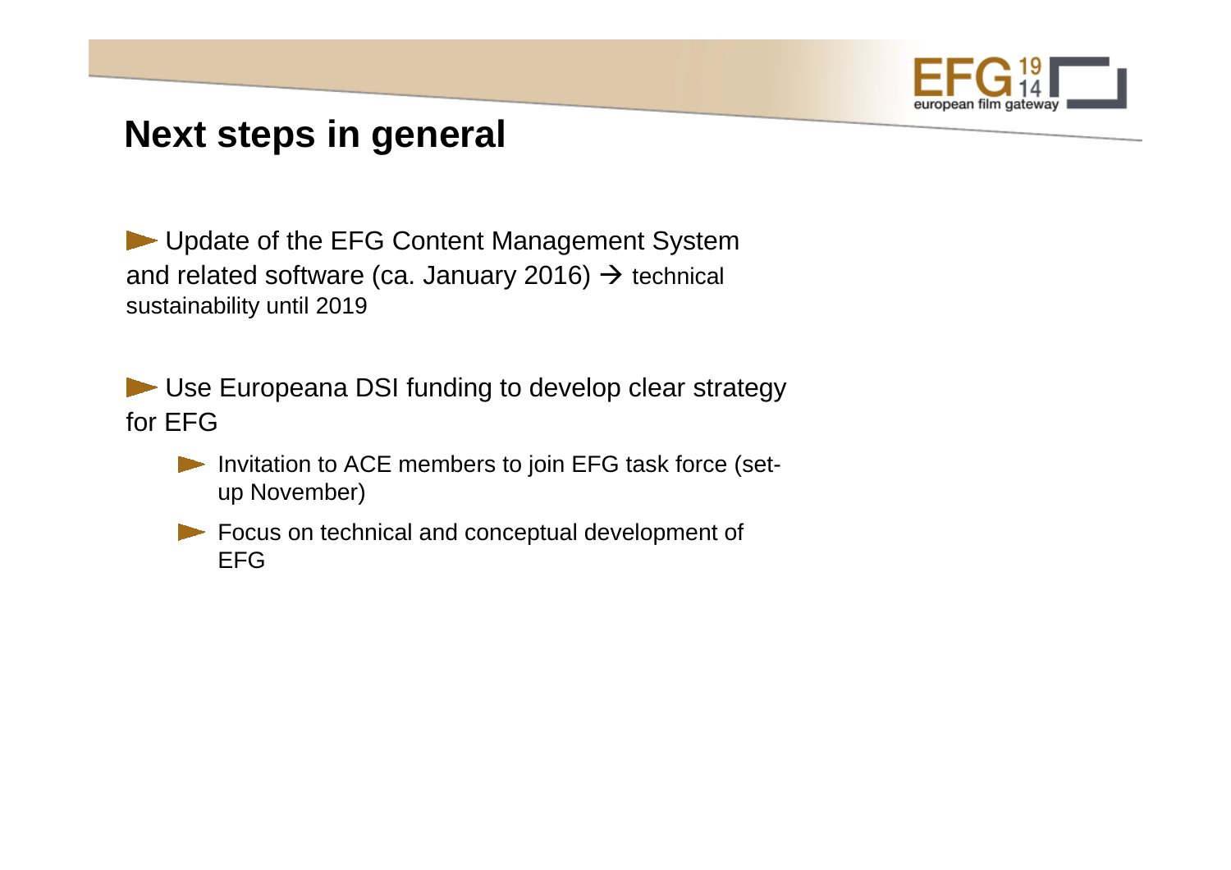

#### **Next steps in general**

Update of the EFG Content Management System and related software (ca. January 2016) → technical<br>sustainability until 2019 sustainability until 2019

Use Europeana DSI funding to develop clear strategyfor EFG

- Invitation to ACE members to join EFG task force (setup November)
- Focus on technical and conceptual development of EFG